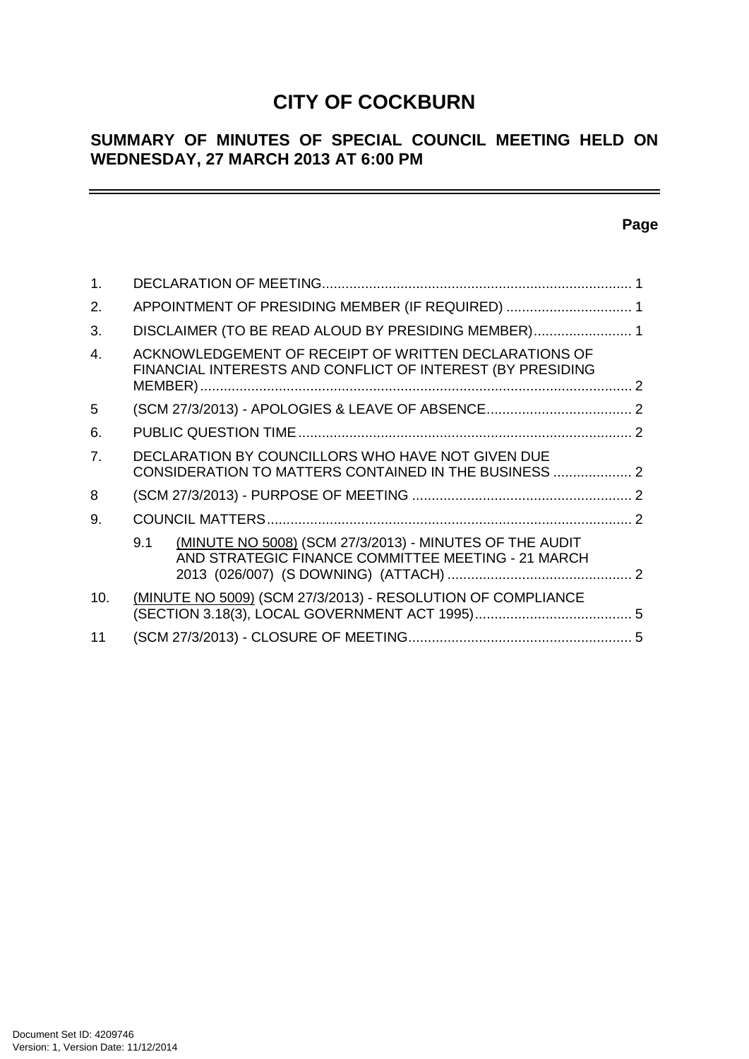# **CITY OF COCKBURN**

# **SUMMARY OF MINUTES OF SPECIAL COUNCIL MEETING HELD ON WEDNESDAY, 27 MARCH 2013 AT 6:00 PM**

# **Page**

 $\overline{\phantom{0}}$ 

| 1.           |                                                                                                                      |  |
|--------------|----------------------------------------------------------------------------------------------------------------------|--|
| 2.           | APPOINTMENT OF PRESIDING MEMBER (IF REQUIRED)  1                                                                     |  |
| 3.           | DISCLAIMER (TO BE READ ALOUD BY PRESIDING MEMBER) 1                                                                  |  |
| $\mathbf{A}$ | ACKNOWLEDGEMENT OF RECEIPT OF WRITTEN DECLARATIONS OF<br>FINANCIAL INTERESTS AND CONFLICT OF INTEREST (BY PRESIDING  |  |
| 5            |                                                                                                                      |  |
| 6.           |                                                                                                                      |  |
| 7.           | DECLARATION BY COUNCILLORS WHO HAVE NOT GIVEN DUE<br>CONSIDERATION TO MATTERS CONTAINED IN THE BUSINESS  2           |  |
| 8            |                                                                                                                      |  |
| 9.           |                                                                                                                      |  |
|              | (MINUTE NO 5008) (SCM 27/3/2013) - MINUTES OF THE AUDIT<br>9.1<br>AND STRATEGIC FINANCE COMMITTEE MEETING - 21 MARCH |  |
| 10.          | (MINUTE NO 5009) (SCM 27/3/2013) - RESOLUTION OF COMPLIANCE                                                          |  |
| 11           |                                                                                                                      |  |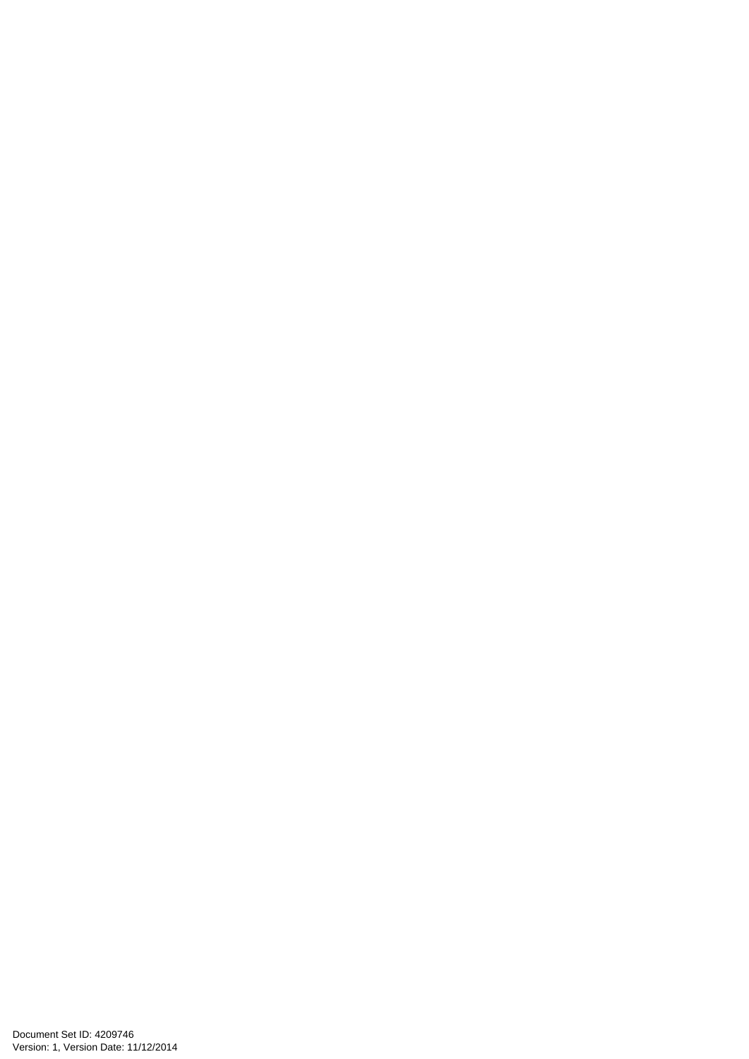Document Set ID: 4209746<br>Version: 1, Version Date: 11/12/2014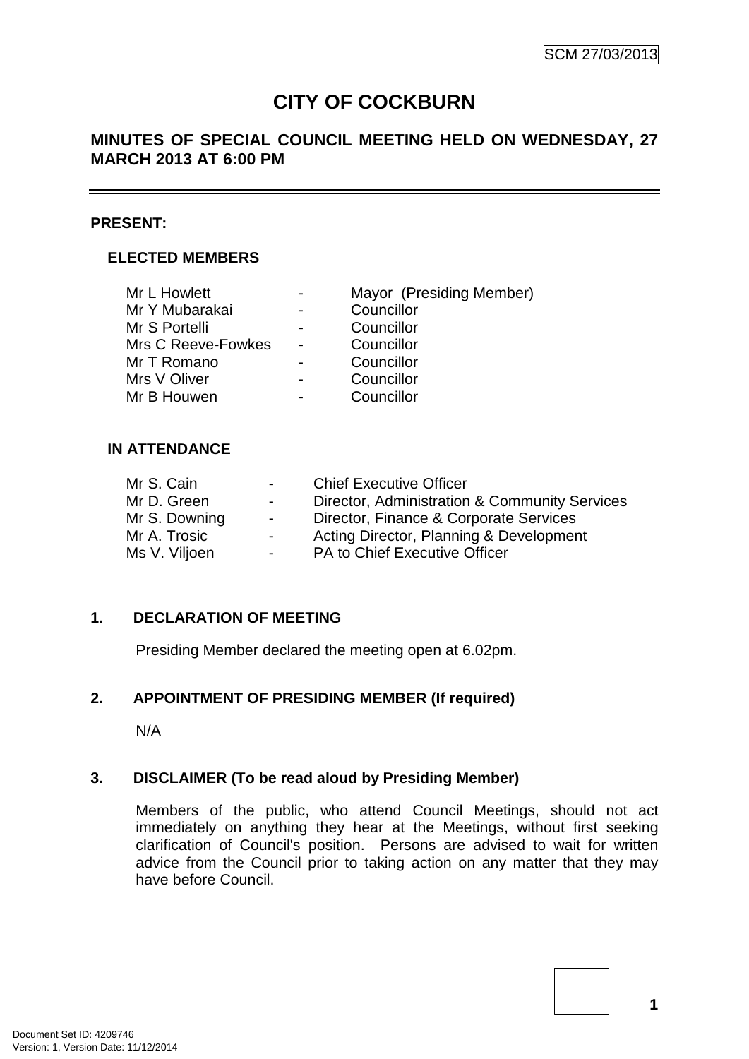# **CITY OF COCKBURN**

# **MINUTES OF SPECIAL COUNCIL MEETING HELD ON WEDNESDAY, 27 MARCH 2013 AT 6:00 PM**

### **PRESENT:**

# **ELECTED MEMBERS**

| Mayor (Presiding Member) |
|--------------------------|
| Councillor               |
| Councillor               |
| Councillor               |
| Councillor               |
| Councillor               |
| Councillor               |
|                          |

### **IN ATTENDANCE**

| Mr S. Cain    | $\sim$           | <b>Chief Executive Officer</b>                |
|---------------|------------------|-----------------------------------------------|
| Mr D. Green   | $\sim$           | Director, Administration & Community Services |
| Mr S. Downing | $\sim$ 100 $\mu$ | Director, Finance & Corporate Services        |
| Mr A. Trosic  | $\sim$           | Acting Director, Planning & Development       |
| Ms V. Viljoen | $\sim$           | PA to Chief Executive Officer                 |
|               |                  |                                               |

### **1. DECLARATION OF MEETING**

Presiding Member declared the meeting open at 6.02pm.

### **2. APPOINTMENT OF PRESIDING MEMBER (If required)**

N/A

# **3. DISCLAIMER (To be read aloud by Presiding Member)**

Members of the public, who attend Council Meetings, should not act immediately on anything they hear at the Meetings, without first seeking clarification of Council's position. Persons are advised to wait for written advice from the Council prior to taking action on any matter that they may have before Council.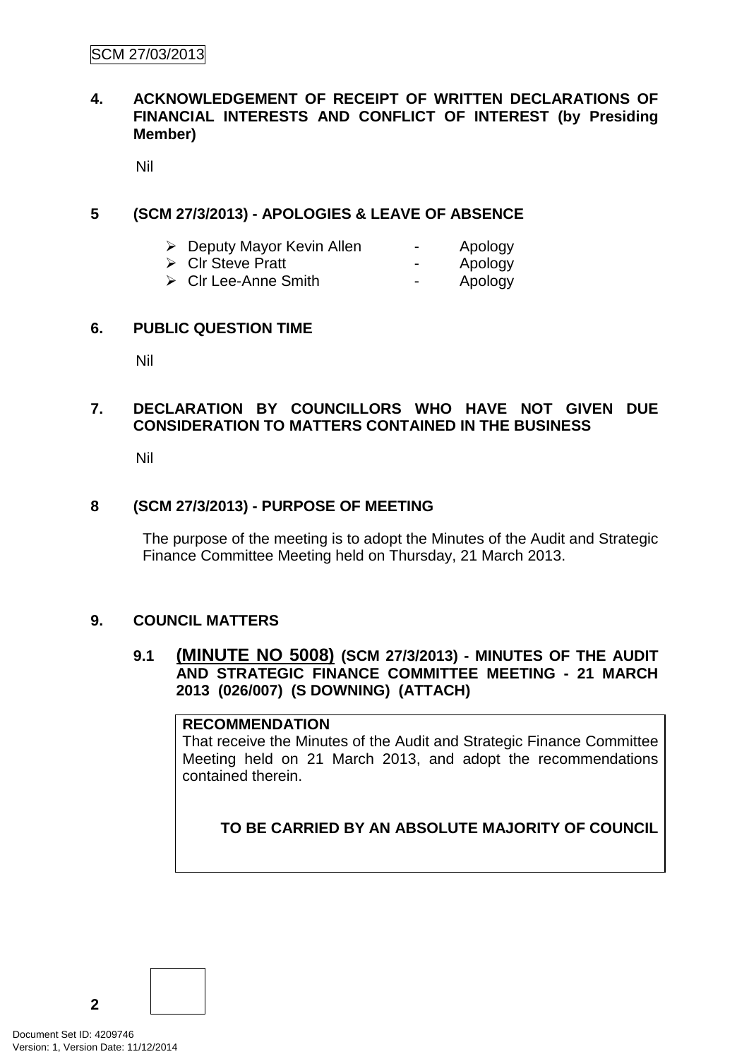# SCM 27/03/2013

### **4. ACKNOWLEDGEMENT OF RECEIPT OF WRITTEN DECLARATIONS OF FINANCIAL INTERESTS AND CONFLICT OF INTEREST (by Presiding Member)**

Nil

# **5 (SCM 27/3/2013) - APOLOGIES & LEAVE OF ABSENCE**

- > Deputy Mayor Kevin Allen Apology
- > Cir Steve Pratt Apology
- 
- > Cir Lee-Anne Smith Apology

### **6. PUBLIC QUESTION TIME**

Nil

# **7. DECLARATION BY COUNCILLORS WHO HAVE NOT GIVEN DUE CONSIDERATION TO MATTERS CONTAINED IN THE BUSINESS**

Nil

### **8 (SCM 27/3/2013) - PURPOSE OF MEETING**

The purpose of the meeting is to adopt the Minutes of the Audit and Strategic Finance Committee Meeting held on Thursday, 21 March 2013.

### **9. COUNCIL MATTERS**

# **9.1 (MINUTE NO 5008) (SCM 27/3/2013) - MINUTES OF THE AUDIT AND STRATEGIC FINANCE COMMITTEE MEETING - 21 MARCH 2013 (026/007) (S DOWNING) (ATTACH)**

### **RECOMMENDATION**

That receive the Minutes of the Audit and Strategic Finance Committee Meeting held on 21 March 2013, and adopt the recommendations contained therein.

**TO BE CARRIED BY AN ABSOLUTE MAJORITY OF COUNCIL**

**2**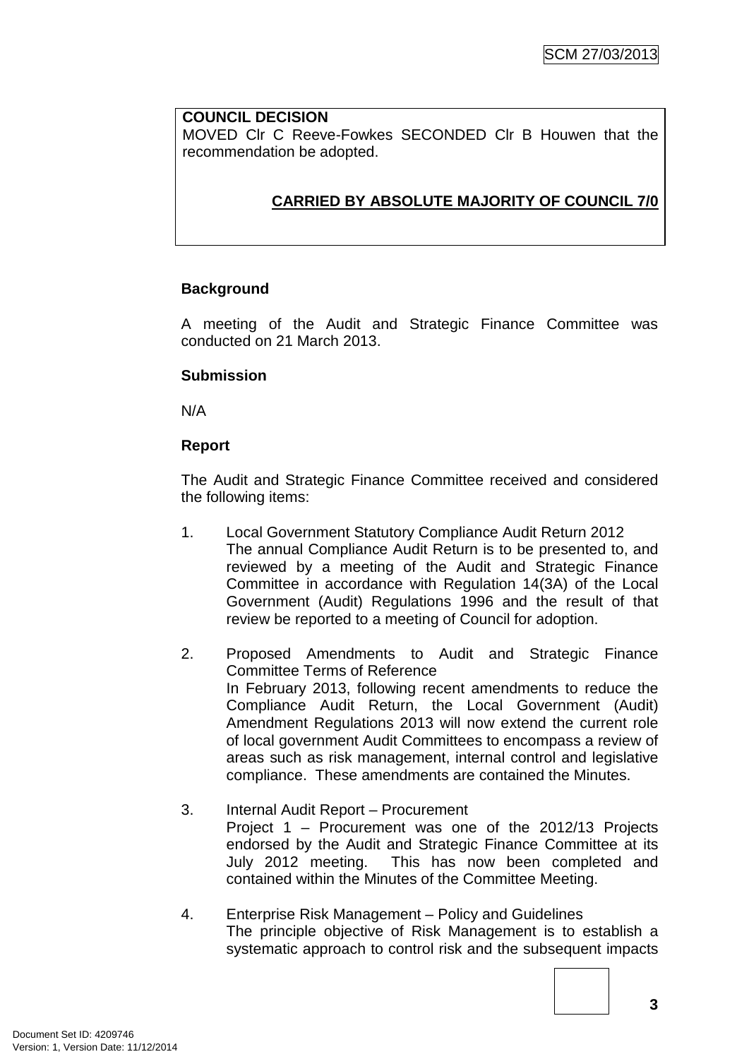### **COUNCIL DECISION**

MOVED Clr C Reeve-Fowkes SECONDED Clr B Houwen that the recommendation be adopted.

# **CARRIED BY ABSOLUTE MAJORITY OF COUNCIL 7/0**

# **Background**

A meeting of the Audit and Strategic Finance Committee was conducted on 21 March 2013.

### **Submission**

N/A

### **Report**

The Audit and Strategic Finance Committee received and considered the following items:

- 1. Local Government Statutory Compliance Audit Return 2012 The annual Compliance Audit Return is to be presented to, and reviewed by a meeting of the Audit and Strategic Finance Committee in accordance with Regulation 14(3A) of the Local Government (Audit) Regulations 1996 and the result of that review be reported to a meeting of Council for adoption.
- 2. Proposed Amendments to Audit and Strategic Finance Committee Terms of Reference In February 2013, following recent amendments to reduce the Compliance Audit Return, the Local Government (Audit) Amendment Regulations 2013 will now extend the current role of local government Audit Committees to encompass a review of areas such as risk management, internal control and legislative compliance. These amendments are contained the Minutes.
- 3. Internal Audit Report Procurement Project 1 – Procurement was one of the 2012/13 Projects endorsed by the Audit and Strategic Finance Committee at its July 2012 meeting. This has now been completed and contained within the Minutes of the Committee Meeting.

### 4. Enterprise Risk Management – Policy and Guidelines The principle objective of Risk Management is to establish a systematic approach to control risk and the subsequent impacts

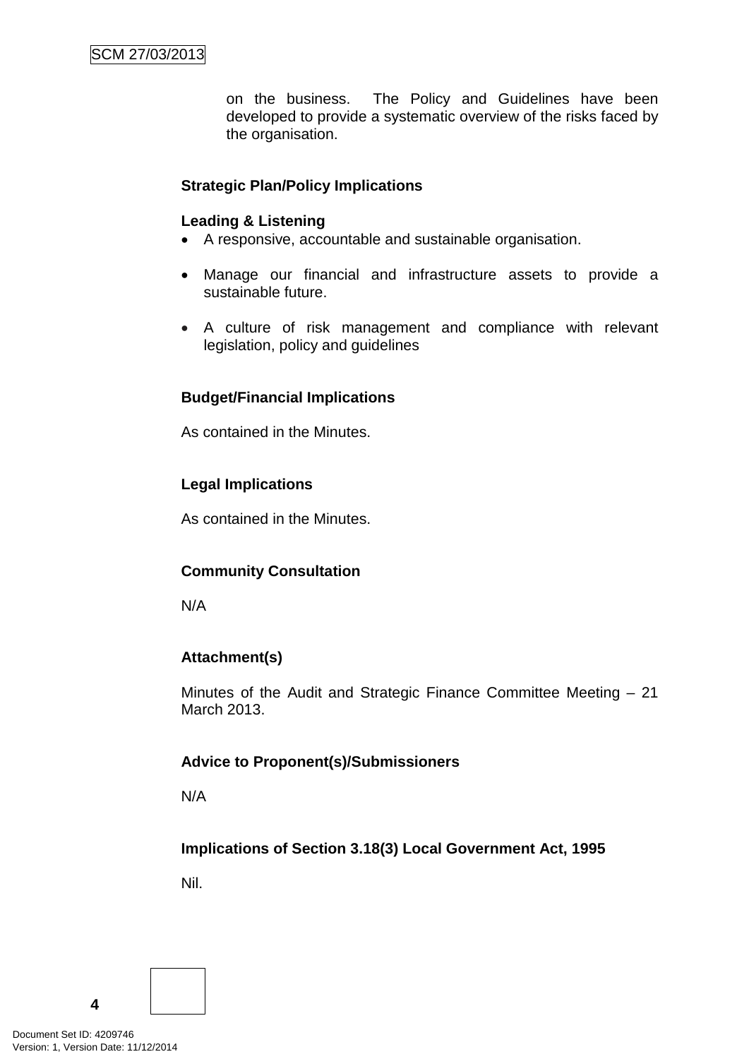on the business. The Policy and Guidelines have been developed to provide a systematic overview of the risks faced by the organisation.

### **Strategic Plan/Policy Implications**

### **Leading & Listening**

- A responsive, accountable and sustainable organisation.
- Manage our financial and infrastructure assets to provide a sustainable future.
- A culture of risk management and compliance with relevant legislation, policy and guidelines

# **Budget/Financial Implications**

As contained in the Minutes.

# **Legal Implications**

As contained in the Minutes.

# **Community Consultation**

N/A

# **Attachment(s)**

Minutes of the Audit and Strategic Finance Committee Meeting – 21 March 2013.

### **Advice to Proponent(s)/Submissioners**

N/A

# **Implications of Section 3.18(3) Local Government Act, 1995**

Nil.